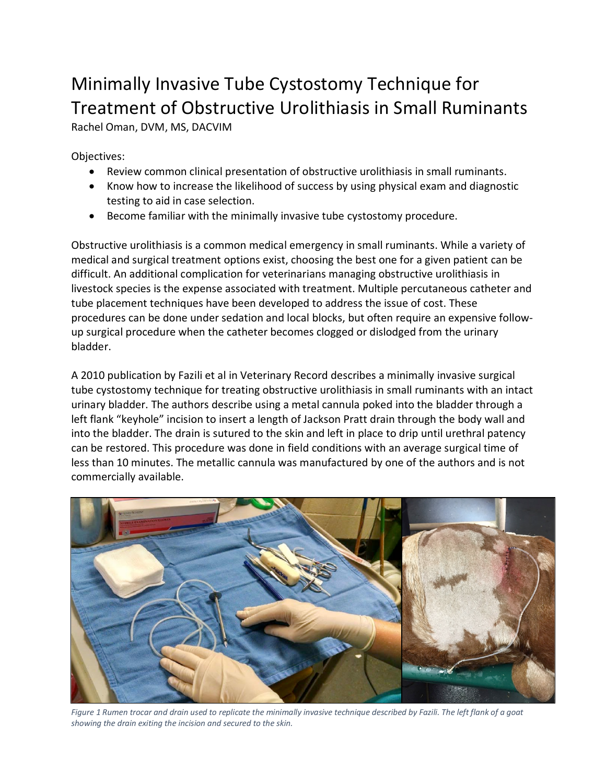## Minimally Invasive Tube Cystostomy Technique for Treatment of Obstructive Urolithiasis in Small Ruminants

Rachel Oman, DVM, MS, DACVIM

Objectives:

- Review common clinical presentation of obstructive urolithiasis in small ruminants.
- Know how to increase the likelihood of success by using physical exam and diagnostic testing to aid in case selection.
- Become familiar with the minimally invasive tube cystostomy procedure.

Obstructive urolithiasis is a common medical emergency in small ruminants. While a variety of medical and surgical treatment options exist, choosing the best one for a given patient can be difficult. An additional complication for veterinarians managing obstructive urolithiasis in livestock species is the expense associated with treatment. Multiple percutaneous catheter and tube placement techniques have been developed to address the issue of cost. These procedures can be done under sedation and local blocks, but often require an expensive followup surgical procedure when the catheter becomes clogged or dislodged from the urinary bladder.

A 2010 publication by Fazili et al in Veterinary Record describes a minimally invasive surgical tube cystostomy technique for treating obstructive urolithiasis in small ruminants with an intact urinary bladder. The authors describe using a metal cannula poked into the bladder through a left flank "keyhole" incision to insert a length of Jackson Pratt drain through the body wall and into the bladder. The drain is sutured to the skin and left in place to drip until urethral patency can be restored. This procedure was done in field conditions with an average surgical time of less than 10 minutes. The metallic cannula was manufactured by one of the authors and is not commercially available.



*Figure 1 Rumen trocar and drain used to replicate the minimally invasive technique described by Fazili. The left flank of a goat showing the drain exiting the incision and secured to the skin.*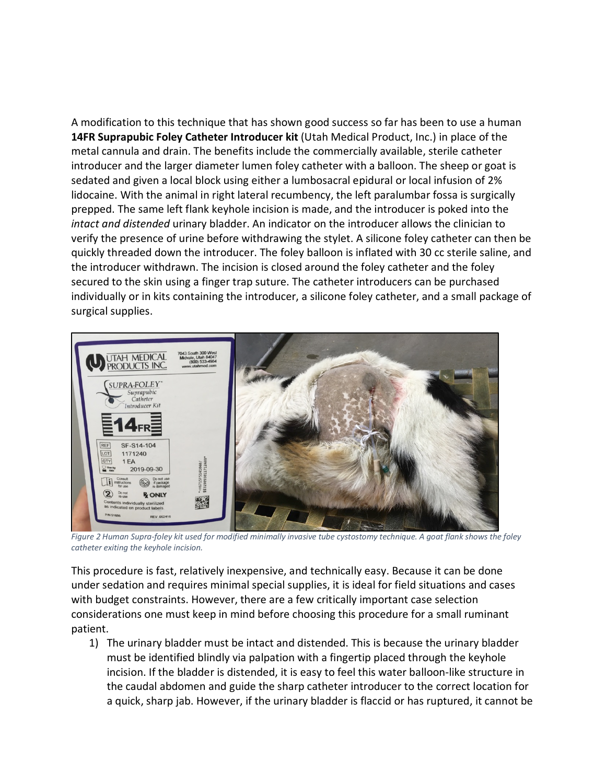A modification to this technique that has shown good success so far has been to use a human **14FR Suprapubic Foley Catheter Introducer kit** (Utah Medical Product, Inc.) in place of the metal cannula and drain. The benefits include the commercially available, sterile catheter introducer and the larger diameter lumen foley catheter with a balloon. The sheep or goat is sedated and given a local block using either a lumbosacral epidural or local infusion of 2% lidocaine. With the animal in right lateral recumbency, the left paralumbar fossa is surgically prepped. The same left flank keyhole incision is made, and the introducer is poked into the *intact and distended* urinary bladder. An indicator on the introducer allows the clinician to verify the presence of urine before withdrawing the stylet. A silicone foley catheter can then be quickly threaded down the introducer. The foley balloon is inflated with 30 cc sterile saline, and the introducer withdrawn. The incision is closed around the foley catheter and the foley secured to the skin using a finger trap suture. The catheter introducers can be purchased individually or in kits containing the introducer, a silicone foley catheter, and a small package of surgical supplies.



*Figure 2 Human Supra-foley kit used for modified minimally invasive tube cystostomy technique. A goat flank shows the foley catheter exiting the keyhole incision.* 

This procedure is fast, relatively inexpensive, and technically easy. Because it can be done under sedation and requires minimal special supplies, it is ideal for field situations and cases with budget constraints. However, there are a few critically important case selection considerations one must keep in mind before choosing this procedure for a small ruminant patient.

1) The urinary bladder must be intact and distended. This is because the urinary bladder must be identified blindly via palpation with a fingertip placed through the keyhole incision. If the bladder is distended, it is easy to feel this water balloon-like structure in the caudal abdomen and guide the sharp catheter introducer to the correct location for a quick, sharp jab. However, if the urinary bladder is flaccid or has ruptured, it cannot be